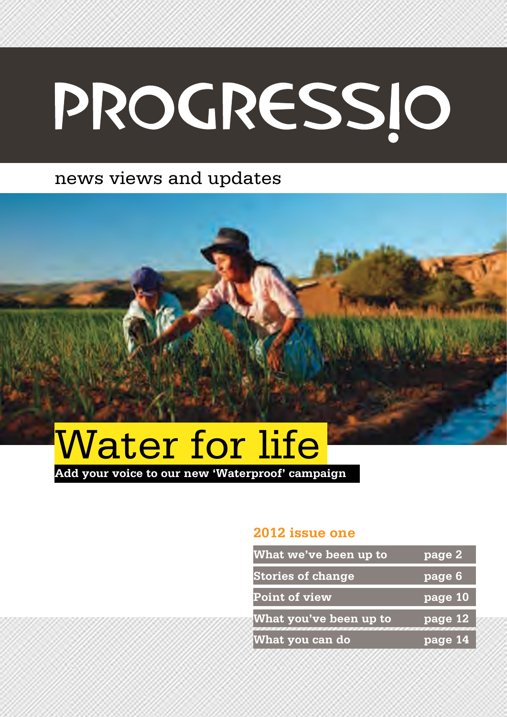# PROGRESSIO

### news views and updates



**Add your voice to our new 'Waterproof' campaign**

#### **2012 issue one**

| What we've been up to    | page 2                        |
|--------------------------|-------------------------------|
| <b>Stories of change</b> | $\overline{\mathbf{page}}$ 6' |
| <b>Point of view</b>     | page 10                       |
| What you've been up to   | page 12                       |
| What you can do          | page 14                       |
|                          |                               |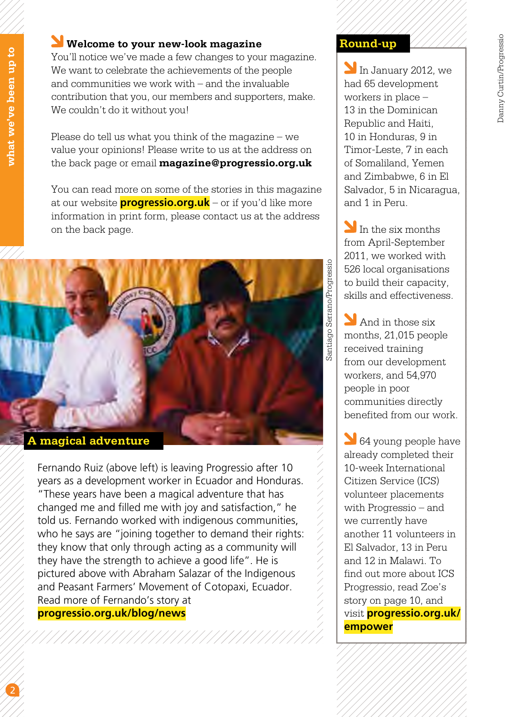#### **Welcome to your new-look magazine**

You'll notice we've made a few changes to your magazine. We want to celebrate the achievements of the people and communities we work with – and the invaluable contribution that you, our members and supporters, make. We couldn't do it without you!

Please do tell us what you think of the magazine – we value your opinions! Please write to us at the address on the back page or email **magazine@progressio.org.uk**

You can read more on some of the stories in this magazine at our website **progressio.org.uk** – or if you'd like more information in print form, please contact us at the address on the back page.



**A magical adventure**

Fernando Ruiz (above left) is leaving Progressio after 10 years as a development worker in Ecuador and Honduras. "These years have been a magical adventure that has changed me and filled me with joy and satisfaction," he told us. Fernando worked with indigenous communities, who he says are "joining together to demand their rights: they know that only through acting as a community will they have the strength to achieve a good life". He is pictured above with Abraham Salazar of the Indigenous and Peasant Farmers' Movement of Cotopaxi, Ecuador. Read more of Fernando's story at **progressio.org.uk/blog/news**

In January 2012, we had 65 development workers in place – 13 in the Dominican Republic and Haiti, 10 in Honduras, 9 in Timor-Leste, 7 in each of Somaliland, Yemen and Zimbabwe, 6 in El Salvador, 5 in Nicaragua, and 1 in Peru.

In the six months from April-September 2011, we worked with 526 local organisations to build their capacity, skills and effectiveness.

**M** And in those six months, 21,015 people received training from our development workers, and 54,970 people in poor communities directly benefited from our work.

64 young people have already completed their 10-week International Citizen Service (ICS) volunteer placements with Progressio – and we currently have another 11 volunteers in El Salvador, 13 in Peru and 12 in Malawi. To find out more about ICS Progressio, read Zoe's story on page 10, and visit **progressio.org.uk/ empower**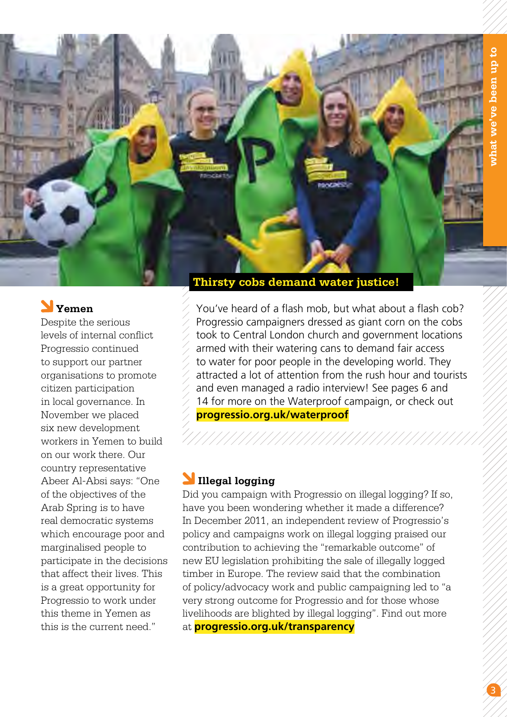

### **Yemen**

Despite the serious levels of internal conflict Progressio continued to support our partner organisations to promote citizen participation in local governance. In November we placed six new development workers in Yemen to build on our work there. Our country representative Abeer Al-Absi says: "One of the objectives of the Arab Spring is to have real democratic systems which encourage poor and marginalised people to participate in the decisions that affect their lives. This is a great opportunity for Progressio to work under this theme in Yemen as this is the current need."

You've heard of a flash mob, but what about a flash cob? Progressio campaigners dressed as giant corn on the cobs took to Central London church and government locations armed with their watering cans to demand fair access to water for poor people in the developing world. They attracted a lot of attention from the rush hour and tourists and even managed a radio interview! See pages 6 and 14 for more on the Waterproof campaign, or check out **progressio.org.uk/waterproof**

#### **Illegal logging**

Did you campaign with Progressio on illegal logging? If so, have you been wondering whether it made a difference? In December 2011, an independent review of Progressio's policy and campaigns work on illegal logging praised our contribution to achieving the "remarkable outcome" of new EU legislation prohibiting the sale of illegally logged timber in Europe. The review said that the combination of policy/advocacy work and public campaigning led to "a very strong outcome for Progressio and for those whose livelihoods are blighted by illegal logging". Find out more at **progressio.org.uk/transparency**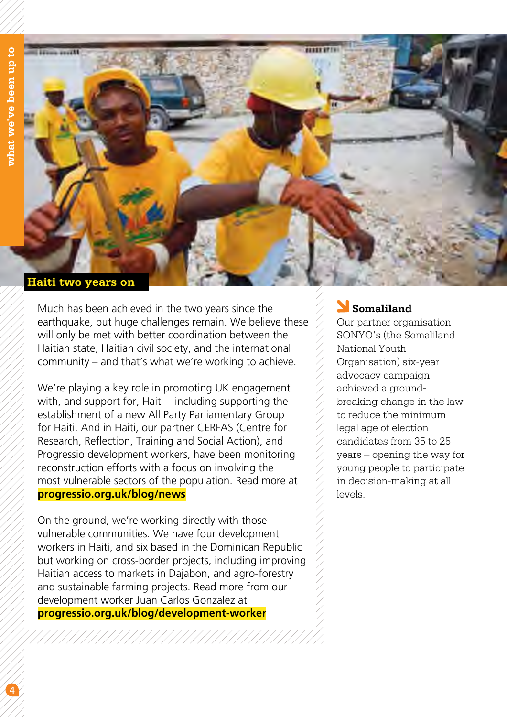

Much has been achieved in the two years since the earthquake, but huge challenges remain. We believe these will only be met with better coordination between the Haitian state, Haitian civil society, and the international community – and that's what we're working to achieve.

We're playing a key role in promoting UK engagement with, and support for, Haiti – including supporting the establishment of a new All Party Parliamentary Group for Haiti. And in Haiti, our partner CERFAS (Centre for Research, Reflection, Training and Social Action), and Progressio development workers, have been monitoring reconstruction efforts with a focus on involving the most vulnerable sectors of the population. Read more at **progressio.org.uk/blog/news**

On the ground, we're working directly with those vulnerable communities. We have four development workers in Haiti, and six based in the Dominican Republic but working on cross-border projects, including improving Haitian access to markets in Dajabon, and agro-forestry and sustainable farming projects. Read more from our development worker Juan Carlos Gonzalez at **progressio.org.uk/blog/development-worker**

#### **Somaliland**

Our partner organisation SONYO's (the Somaliland National Youth Organisation) six-year advocacy campaign achieved a groundbreaking change in the law to reduce the minimum legal age of election candidates from 35 to 25 years – opening the way for young people to participate in decision-making at all levels.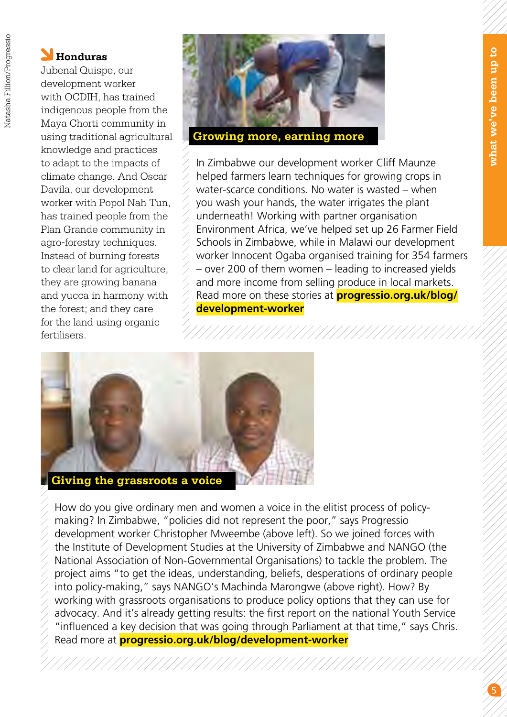#### **Honduras**

Jubenal Quispe, our development worker with OCDIH, has trained indigenous people from the Maya Chorti community in using traditional agricultural knowledge and practices to adapt to the impacts of climate change. And Oscar Davila, our development worker with Popol Nah Tun, has trained people from the Plan Grande community in agro-forestry techniques. Instead of burning forests to clear land for agriculture, they are growing banana and yucca in harmony with the forest; and they care for the land using organic fertilisers.



In Zimbabwe our development worker Cliff Maunze helped farmers learn techniques for growing crops in water-scarce conditions. No water is wasted – when you wash your hands, the water irrigates the plant underneath! Working with partner organisation Environment Africa, we've helped set up 26 Farmer Field Schools in Zimbabwe, while in Malawi our development worker Innocent Ogaba organised training for 354 farmers – over 200 of them women – leading to increased yields and more income from selling produce in local markets. Read more on these stories at **progressio.org.uk/blog/ development-worker**



**Giving the grassroots a voice**

How do you give ordinary men and women a voice in the elitist process of policymaking? In Zimbabwe, "policies did not represent the poor," says Progressio development worker Christopher Mweembe (above left). So we joined forces with the Institute of Development Studies at the University of Zimbabwe and NANGO (the National Association of Non-Governmental Organisations) to tackle the problem. The project aims "to get the ideas, understanding, beliefs, desperations of ordinary people into policy-making," says NANGO's Machinda Marongwe (above right). How? By working with grassroots organisations to produce policy options that they can use for advocacy. And it's already getting results: the first report on the national Youth Service "influenced a key decision that was going through Parliament at that time," says Chris. Read more at **progressio.org.uk/blog/development-worker**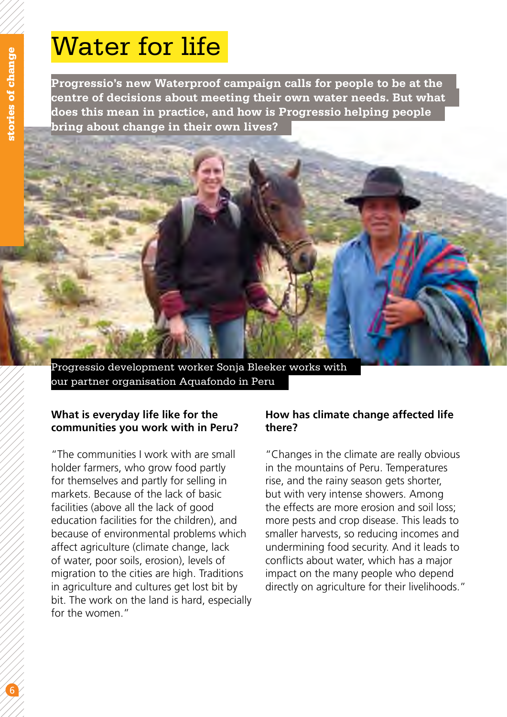## **Water for life** Water for life

**Progressio's new Waterproof campaign calls for people to be at the centre of decisions about meeting their own water needs. But what does this mean in practice, and how is Progressio helping people bring about change in their own lives?**



our partner organisation Aquafondo in Peru

#### **What is everyday life like for the communities you work with in Peru?**

"The communities I work with are small holder farmers, who grow food partly for themselves and partly for selling in markets. Because of the lack of basic facilities (above all the lack of good education facilities for the children), and because of environmental problems which affect agriculture (climate change, lack of water, poor soils, erosion), levels of migration to the cities are high. Traditions in agriculture and cultures get lost bit by bit. The work on the land is hard, especially for the women."

#### **How has climate change affected life there?**

"Changes in the climate are really obvious in the mountains of Peru. Temperatures rise, and the rainy season gets shorter, but with very intense showers. Among the effects are more erosion and soil loss; more pests and crop disease. This leads to smaller harvests, so reducing incomes and undermining food security. And it leads to conflicts about water, which has a major impact on the many people who depend directly on agriculture for their livelihoods."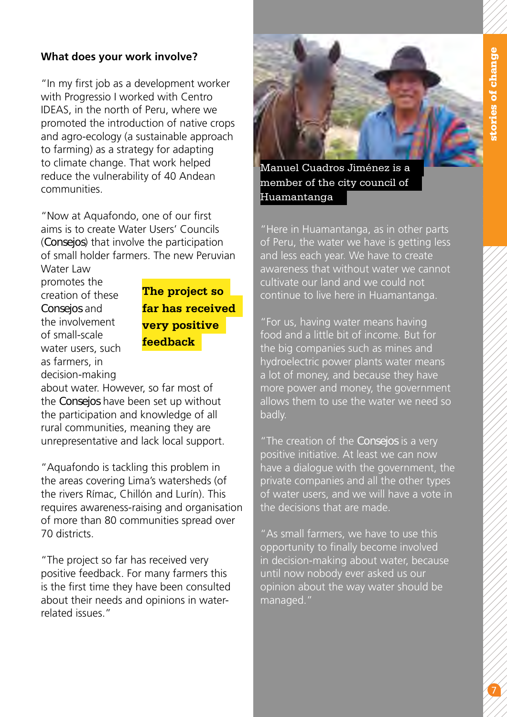#### **What does your work involve?**

"In my first job as a development worker with Progressio I worked with Centro IDEAS, in the north of Peru, where we promoted the introduction of native crops and agro-ecology (a sustainable approach to farming) as a strategy for adapting to climate change. That work helped reduce the vulnerability of 40 Andean communities.

"Now at Aquafondo, one of our first aims is to create Water Users' Councils (*Consejos*) that involve the participation of small holder farmers. The new Peruvian

Water Law promotes the creation of these *Consejos* and the involvement of small-scale water users, such as farmers, in decision-making

**The project so far has received very positive feedback**

about water. However, so far most of the *Consejos* have been set up without the participation and knowledge of all rural communities, meaning they are unrepresentative and lack local support.

"Aquafondo is tackling this problem in the areas covering Lima's watersheds (of the rivers Rímac, Chillón and Lurín). This requires awareness-raising and organisation of more than 80 communities spread over 70 districts.

"The project so far has received very positive feedback. For many farmers this is the first time they have been consulted about their needs and opinions in waterrelated issues."



Manuel Cuadros Jiménez is a member of the city council of Huamantanga

"Here in Huamantanga, as in other parts of Peru, the water we have is getting less and less each year. We have to create awareness that without water we cannot cultivate our land and we could not continue to live here in Huamantanga.

"For us, having water means having food and a little bit of income. But for the big companies such as mines and hydroelectric power plants water means a lot of money, and because they have more power and money, the government allows them to use the water we need so badly.

"The creation of the *Consejos* is a very positive initiative. At least we can now have a dialogue with the government, the private companies and all the other types of water users, and we will have a vote in the decisions that are made.

"As small farmers, we have to use this opportunity to finally become involved in decision-making about water, because until now nobody ever asked us our opinion about the way water should be managed."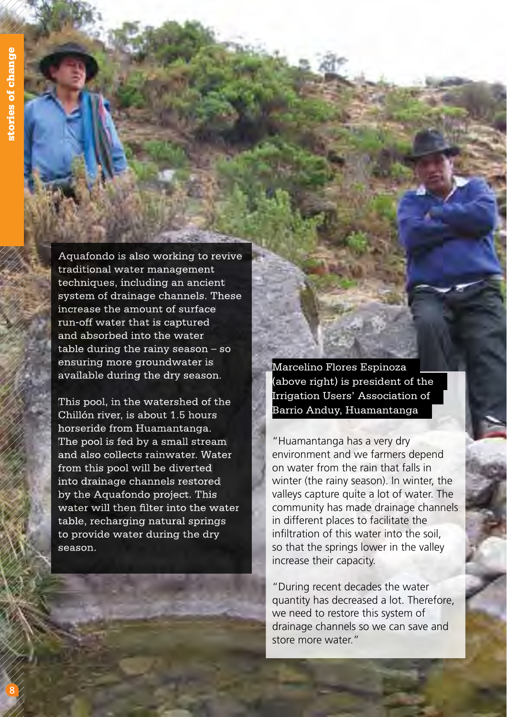Aquafondo is also working to revive traditional water management techniques, including an ancient system of drainage channels. These increase the amount of surface run-off water that is captured and absorbed into the water table during the rainy season – so ensuring more groundwater is available during the dry season.

This pool, in the watershed of the Chillón river, is about 1.5 hours horseride from Huamantanga. The pool is fed by a small stream and also collects rainwater. Water from this pool will be diverted into drainage channels restored by the Aquafondo project. This water will then filter into the water table, recharging natural springs to provide water during the dry season.

Marcelino Flores Espinoza (above right) is president of the Irrigation Users' Association of Barrio Anduy, Huamantanga

"Huamantanga has a very dry environment and we farmers depend on water from the rain that falls in winter (the rainy season). In winter, the valleys capture quite a lot of water. The community has made drainage channels in different places to facilitate the infiltration of this water into the soil, so that the springs lower in the valley increase their capacity.

"During recent decades the water quantity has decreased a lot. Therefore, we need to restore this system of drainage channels so we can save and store more water."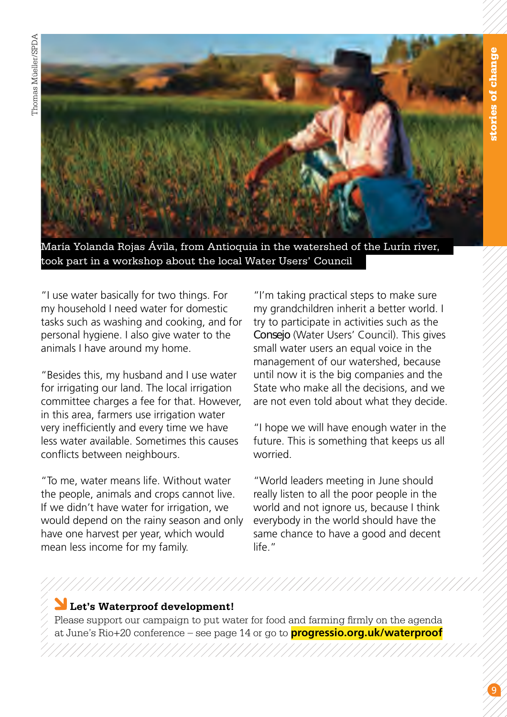



María Yolanda Rojas Ávila, from Antioquia in the watershed of the Lurín river, took part in a workshop about the local Water Users' Council

"I use water basically for two things. For my household I need water for domestic tasks such as washing and cooking, and for personal hygiene. I also give water to the animals I have around my home.

"Besides this, my husband and I use water for irrigating our land. The local irrigation committee charges a fee for that. However, in this area, farmers use irrigation water very inefficiently and every time we have less water available. Sometimes this causes conflicts between neighbours.

"To me, water means life. Without water the people, animals and crops cannot live. If we didn't have water for irrigation, we would depend on the rainy season and only have one harvest per year, which would mean less income for my family.

"I'm taking practical steps to make sure my grandchildren inherit a better world. I try to participate in activities such as the *Consejo* (Water Users' Council). This gives small water users an equal voice in the management of our watershed, because until now it is the big companies and the State who make all the decisions, and we are not even told about what they decide.

"I hope we will have enough water in the future. This is something that keeps us all worried.

"World leaders meeting in June should really listen to all the poor people in the world and not ignore us, because I think everybody in the world should have the same chance to have a good and decent life<sup>"</sup>

#### **Let's Waterproof development!**

Please support our campaign to put water for food and farming firmly on the agenda at June's Rio+20 conference – see page 14 or go to **progressio.org.uk/waterproof**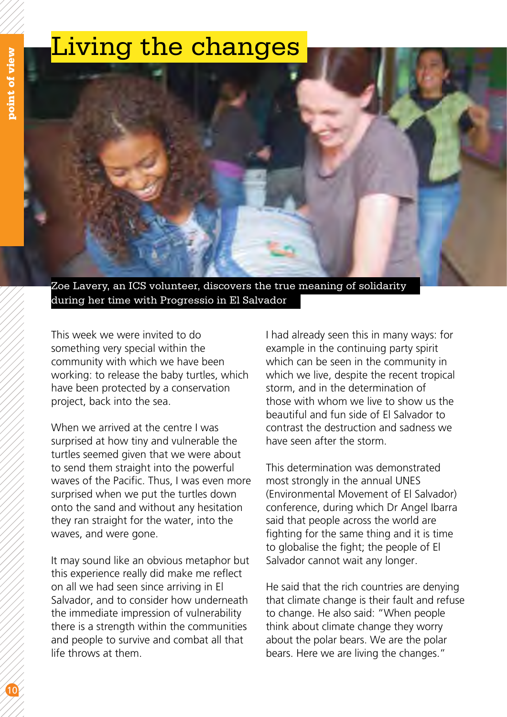## Living the changes

Zoe Lavery, an ICS volunteer, discovers the true meaning of solidarity

during her time with Progressio in El Salvador

This week we were invited to do something very special within the community with which we have been working: to release the baby turtles, which have been protected by a conservation project, back into the sea.

When we arrived at the centre I was surprised at how tiny and vulnerable the turtles seemed given that we were about to send them straight into the powerful waves of the Pacific. Thus, I was even more surprised when we put the turtles down onto the sand and without any hesitation they ran straight for the water, into the waves, and were gone.

It may sound like an obvious metaphor but this experience really did make me reflect on all we had seen since arriving in El Salvador, and to consider how underneath the immediate impression of vulnerability there is a strength within the communities and people to survive and combat all that life throws at them.

I had already seen this in many ways: for example in the continuing party spirit which can be seen in the community in which we live, despite the recent tropical storm, and in the determination of those with whom we live to show us the beautiful and fun side of El Salvador to contrast the destruction and sadness we have seen after the storm.

This determination was demonstrated most strongly in the annual UNES (Environmental Movement of El Salvador) conference, during which Dr Angel Ibarra said that people across the world are fighting for the same thing and it is time to globalise the fight; the people of El Salvador cannot wait any longer.

He said that the rich countries are denying that climate change is their fault and refuse to change. He also said: "When people think about climate change they worry about the polar bears. We are the polar bears. Here we are living the changes."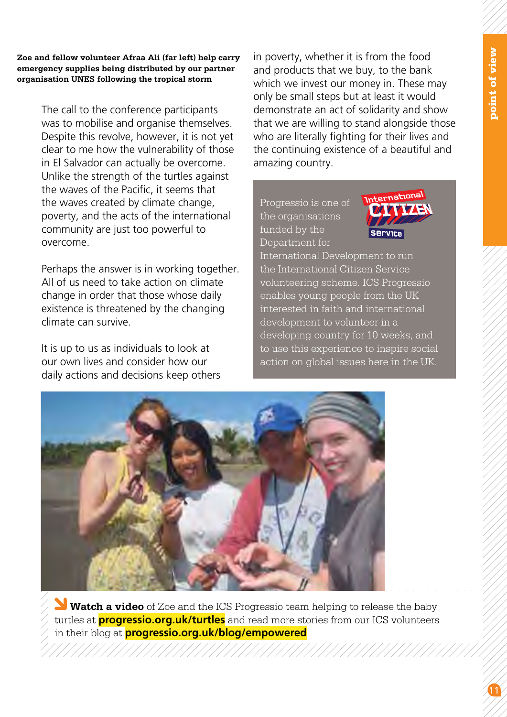**Zoe and fellow volunteer Afraa Ali (far left) help carry emergency supplies being distributed by our partner organisation UNES following the tropical storm**

> The call to the conference participants was to mobilise and organise themselves. Despite this revolve, however, it is not yet clear to me how the vulnerability of those in El Salvador can actually be overcome. Unlike the strength of the turtles against the waves of the Pacific, it seems that the waves created by climate change, poverty, and the acts of the international community are just too powerful to overcome.

Perhaps the answer is in working together. All of us need to take action on climate change in order that those whose daily existence is threatened by the changing climate can survive.

It is up to us as individuals to look at our own lives and consider how our daily actions and decisions keep others in poverty, whether it is from the food and products that we buy, to the bank which we invest our money in. These may only be small steps but at least it would demonstrate an act of solidarity and show that we are willing to stand alongside those who are literally fighting for their lives and the continuing existence of a beautiful and amazing country.

Progressio is one of the organisations funded by the Department for



International Development to run the International Citizen Service volunteering scheme. ICS Progressio enables young people from the UK interested in faith and international development to volunteer in a developing country for 10 weeks, and to use this experience to inspire social action on global issues here in the UK.



 **Watch a video** of Zoe and the ICS Progressio team helping to release the baby turtles at **progressio.org.uk/turtles** and read more stories from our ICS volunteers in their blog at **progressio.org.uk/blog/empowered**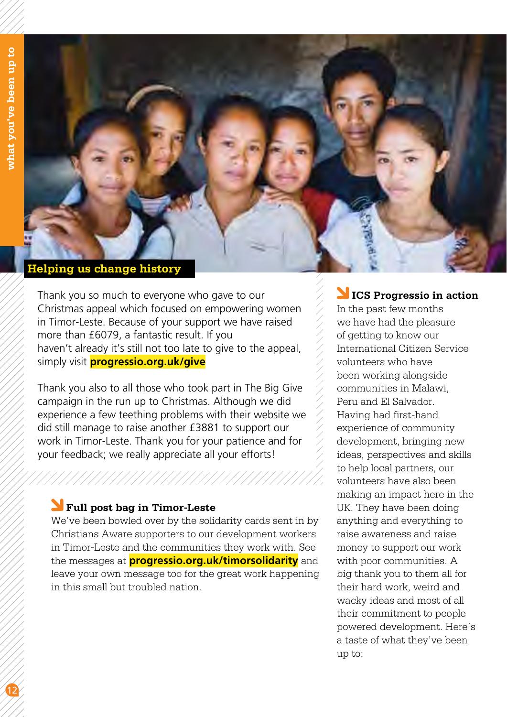

Thank you so much to everyone who gave to our Christmas appeal which focused on empowering women in Timor-Leste. Because of your support we have raised more than £6079, a fantastic result. If you haven't already it's still not too late to give to the appeal, simply visit **progressio.org.uk/give**

Thank you also to all those who took part in The Big Give campaign in the run up to Christmas. Although we did experience a few teething problems with their website we did still manage to raise another £3881 to support our work in Timor-Leste. Thank you for your patience and for your feedback; we really appreciate all your efforts!

#### **Full post bag in Timor-Leste**

We've been bowled over by the solidarity cards sent in by Christians Aware supporters to our development workers in Timor-Leste and the communities they work with. See the messages at **progressio.org.uk/timorsolidarity** and leave your own message too for the great work happening in this small but troubled nation.

#### **ICS Progressio in action**

In the past few months we have had the pleasure of getting to know our International Citizen Service volunteers who have been working alongside communities in Malawi, Peru and El Salvador. Having had first-hand experience of community development, bringing new ideas, perspectives and skills to help local partners, our volunteers have also been making an impact here in the UK. They have been doing anything and everything to raise awareness and raise money to support our work with poor communities. A big thank you to them all for their hard work, weird and wacky ideas and most of all their commitment to people powered development. Here's a taste of what they've been up to: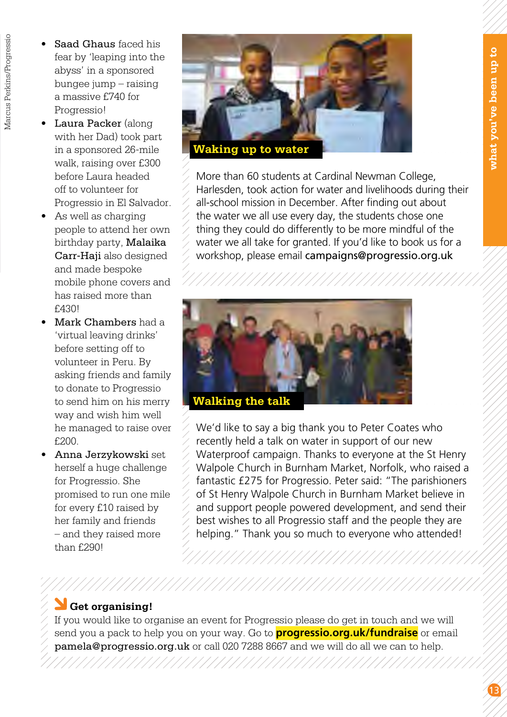- Saad Ghaus faced his fear by 'leaping into the abyss' in a sponsored bungee jump – raising a massive £740 for Progressio!
- Laura Packer (along with her Dad) took part in a sponsored 26-mile walk, raising over £300 before Laura headed off to volunteer for Progressio in El Salvador.
- • As well as charging people to attend her own birthday party, Malaika Carr-Haji also designed and made bespoke mobile phone covers and has raised more than £430!
- Mark Chambers had a 'virtual leaving drinks' before setting off to volunteer in Peru. By asking friends and family to donate to Progressio to send him on his merry way and wish him well he managed to raise over £200.
- • Anna Jerzykowski set herself a huge challenge for Progressio. She promised to run one mile for every £10 raised by her family and friends – and they raised more than £290!



More than 60 students at Cardinal Newman College, Harlesden, took action for water and livelihoods during their all-school mission in December. After finding out about the water we all use every day, the students chose one thing they could do differently to be more mindful of the water we all take for granted. If you'd like to book us for a workshop, please email campaigns@progressio.org.uk



We'd like to say a big thank you to Peter Coates who recently held a talk on water in support of our new Waterproof campaign. Thanks to everyone at the St Henry Walpole Church in Burnham Market, Norfolk, who raised a fantastic £275 for Progressio. Peter said: "The parishioners of St Henry Walpole Church in Burnham Market believe in and support people powered development, and send their best wishes to all Progressio staff and the people they are helping." Thank you so much to everyone who attended!

#### **Get organising!**

If you would like to organise an event for Progressio please do get in touch and we will send you a pack to help you on your way. Go to **progressio.org.uk/fundraise** or email pamela@progressio.org.uk or call 020 7288 8667 and we will do all we can to help.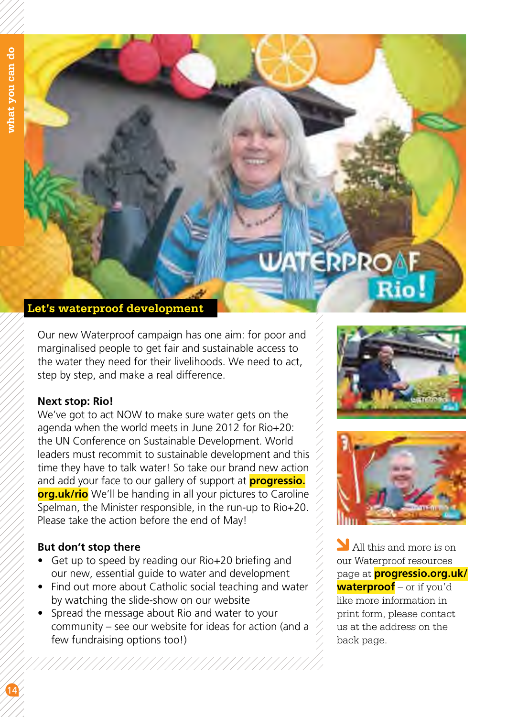

Our new Waterproof campaign has one aim: for poor and marginalised people to get fair and sustainable access to the water they need for their livelihoods. We need to act, step by step, and make a real difference.

#### **Next stop: Rio!**

We've got to act NOW to make sure water gets on the agenda when the world meets in June 2012 for Rio+20: the UN Conference on Sustainable Development. World leaders must recommit to sustainable development and this time they have to talk water! So take our brand new action and add your face to our gallery of support at **progressio. org.uk/rio** We'll be handing in all your pictures to Caroline Spelman, the Minister responsible, in the run-up to Rio+20. Please take the action before the end of May!

#### **But don't stop there**

- Get up to speed by reading our Rio+20 briefing and our new, essential guide to water and development
- Find out more about Catholic social teaching and water by watching the slide-show on our website
- Spread the message about Rio and water to your community – see our website for ideas for action (and a few fundraising options too!)





All this and more is on our Waterproof resources page at **progressio.org.uk/ waterproof** – or if you'd like more information in print form, please contact us at the address on the back page.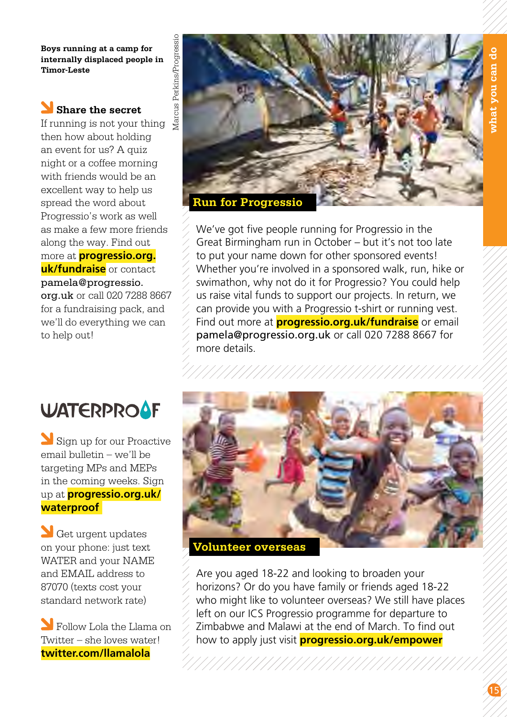**Boys running at a camp for internally displaced people in Timor-Leste**

#### **Share the secret**

If running is not your thing then how about holding an event for us? A quiz night or a coffee morning with friends would be an excellent way to help us spread the word about Progressio's work as well as make a few more friends along the way. Find out more at **progressio.org. uk/fundraise** or contact pamela@progressio. org.uk or call 020 7288 8667 for a fundraising pack, and we'll do everything we can to help out!



We've got five people running for Progressio in the Great Birmingham run in October – but it's not too late to put your name down for other sponsored events! Whether you're involved in a sponsored walk, run, hike or swimathon, why not do it for Progressio? You could help us raise vital funds to support our projects. In return, we can provide you with a Progressio t-shirt or running vest. Find out more at **progressio.org.uk/fundraise** or email pamela@progressio.org.uk or call 020 7288 8667 for more details.

## **WATERPROAF**

Sign up for our Proactive email bulletin – we'll be targeting MPs and MEPs in the coming weeks. Sign up at **progressio.org.uk/ waterproof** 

Get urgent updates on your phone: just text WATER and your NAME and EMAIL address to 87070 (texts cost your standard network rate)

**N** Follow Lola the Llama on Twitter – she loves water! **twitter.com/llamalola**



Are you aged 18-22 and looking to broaden your horizons? Or do you have family or friends aged 18-22 who might like to volunteer overseas? We still have places left on our ICS Progressio programme for departure to Zimbabwe and Malawi at the end of March. To find out how to apply just visit **progressio.org.uk/empower**